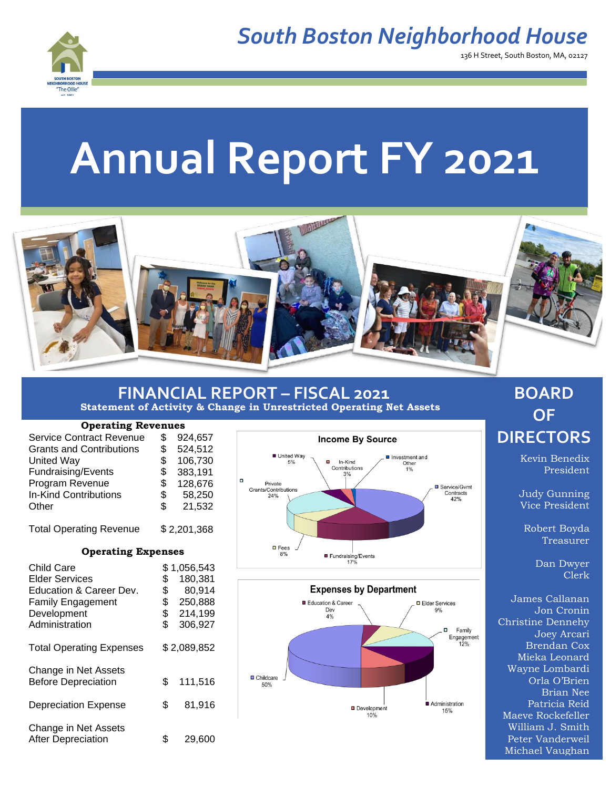

136 H Street, South Boston, MA, 02127

# **Annual Report FY 2021**



#### **FINANCIAL REPORT – FISCAL 2021 Statement of Activity & Change in Unrestricted Operating Net Assets**

#### **Operating Revenues**

| <b>Service Contract Revenue</b> | \$          | 924,657 |
|---------------------------------|-------------|---------|
| <b>Grants and Contributions</b> | \$          | 524,512 |
| <b>United Way</b>               | \$          | 106,730 |
| Fundraising/Events              | \$          | 383,191 |
| Program Revenue                 | \$          | 128,676 |
| <b>In-Kind Contributions</b>    | \$          | 58,250  |
| Other                           | \$          | 21,532  |
|                                 |             |         |
| <b>Total Operating Revenue</b>  | \$2,201,368 |         |

#### **Operating Expenses**

| Child Care<br><b>Elder Services</b><br>Education & Career Dev.<br><b>Family Engagement</b><br>Development<br>Administration | \$<br>\$<br>\$<br>\$<br>\$ | \$1,056,543<br>180,381<br>80,914<br>250,888<br>214,199<br>306,927 |
|-----------------------------------------------------------------------------------------------------------------------------|----------------------------|-------------------------------------------------------------------|
| <b>Total Operating Expenses</b>                                                                                             |                            | \$2,089,852                                                       |
| Change in Net Assets<br><b>Before Depreciation</b>                                                                          | \$                         | 111,516                                                           |
| <b>Depreciation Expense</b>                                                                                                 | \$                         | 81,916                                                            |
| Change in Net Assets<br><b>After Depreciation</b>                                                                           | \$                         | 29,600                                                            |





### **BOARD OF DIRECTORS**

Kevin Benedix President

Judy Gunning Vice President

Robert Boyda Treasurer

> Dan Dwyer Clerk

James Callanan Jon Cronin Christine Dennehy Joey Arcari Brendan Cox Mieka Leonard Wayne Lombardi Orla O'Brien Brian Nee Patricia Reid Maeve Rockefeller William J. Smith Peter Vanderweil Michael Vaughan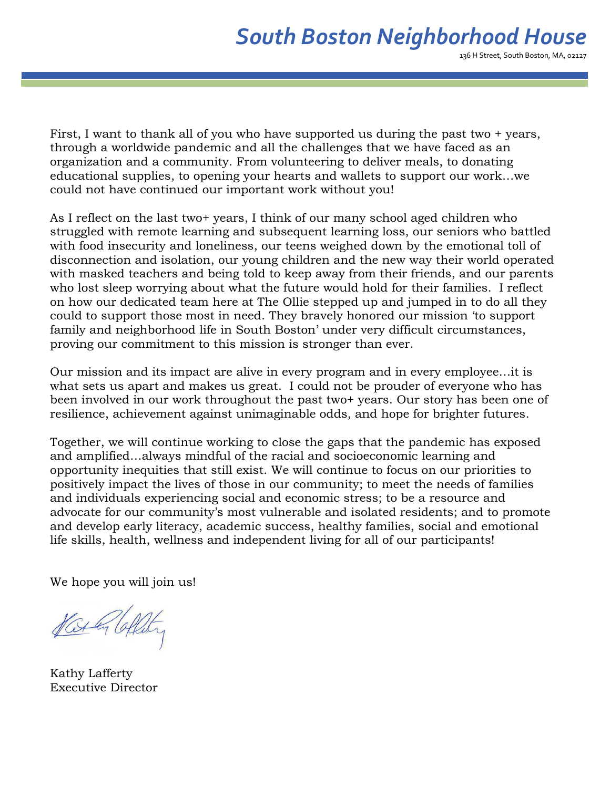136 H Street, South Boston, MA, 02127

First, I want to thank all of you who have supported us during the past two + years, through a worldwide pandemic and all the challenges that we have faced as an organization and a community. From volunteering to deliver meals, to donating educational supplies, to opening your hearts and wallets to support our work…we could not have continued our important work without you!

As I reflect on the last two+ years, I think of our many school aged children who struggled with remote learning and subsequent learning loss, our seniors who battled with food insecurity and loneliness, our teens weighed down by the emotional toll of disconnection and isolation, our young children and the new way their world operated with masked teachers and being told to keep away from their friends, and our parents who lost sleep worrying about what the future would hold for their families. I reflect on how our dedicated team here at The Ollie stepped up and jumped in to do all they could to support those most in need. They bravely honored our mission 'to support family and neighborhood life in South Boston' under very difficult circumstances, proving our commitment to this mission is stronger than ever.

Our mission and its impact are alive in every program and in every employee…it is what sets us apart and makes us great. I could not be prouder of everyone who has been involved in our work throughout the past two+ years. Our story has been one of resilience, achievement against unimaginable odds, and hope for brighter futures.

Together, we will continue working to close the gaps that the pandemic has exposed and amplified…always mindful of the racial and socioeconomic learning and opportunity inequities that still exist. We will continue to focus on our priorities to positively impact the lives of those in our community; to meet the needs of families and individuals experiencing social and economic stress; to be a resource and advocate for our community's most vulnerable and isolated residents; and to promote and develop early literacy, academic success, healthy families, social and emotional life skills, health, wellness and independent living for all of our participants!

We hope you will join us!

Vat & Coffeety

Kathy Lafferty Executive Director